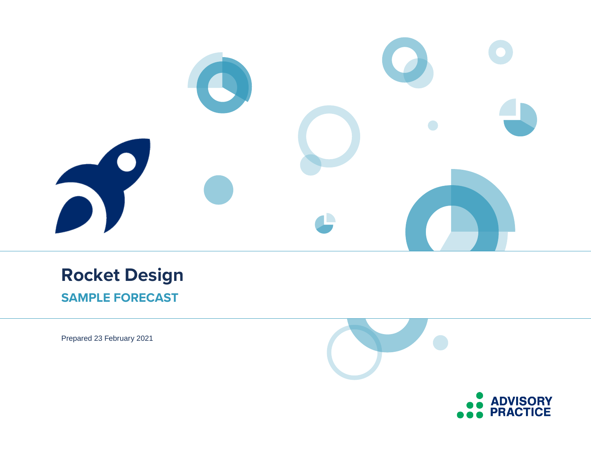

# **Rocket Design SAMPLE FORECAST**

Prepared 23 February 2021

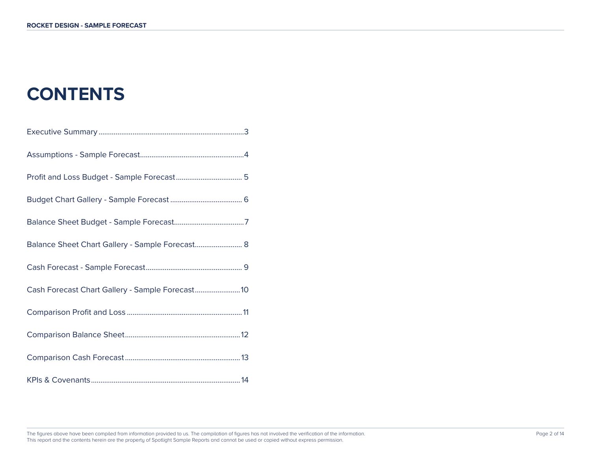# **CONTENTS**

| Balance Sheet Chart Gallery - Sample Forecast 8  |
|--------------------------------------------------|
|                                                  |
| Cash Forecast Chart Gallery - Sample Forecast 10 |
|                                                  |
|                                                  |
|                                                  |
|                                                  |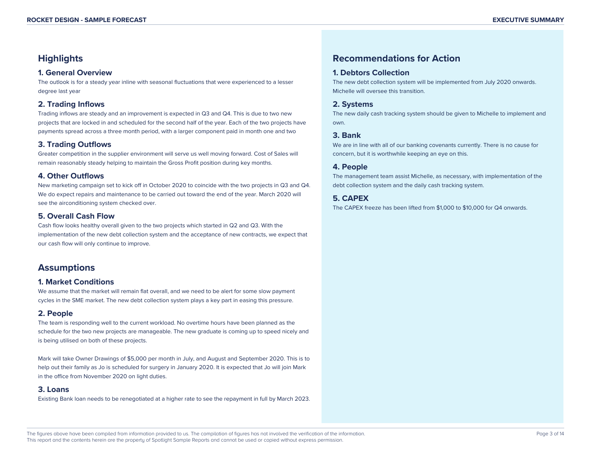# **Highlights**

### **1. General Overview**

The outlook is for a steady year inline with seasonal fluctuations that were experienced to a lesser degree last year

### **2. Trading Inflows**

Trading inflows are steady and an improvement is expected in Q3 and Q4. This is due to two new projects that are locked in and scheduled for the second half of the year. Each of the two projects have payments spread across a three month period, with a larger component paid in month one and two

### **3. Trading Outflows**

Greater competition in the supplier environment will serve us well moving forward. Cost of Sales will remain reasonably steady helping to maintain the Gross Profit position during key months.

### **4. Other Outflows**

New marketing campaign set to kick off in October 2020 to coincide with the two projects in Q3 and Q4. We do expect repairs and maintenance to be carried out toward the end of the year. March 2020 will see the airconditioning system checked over.

# **5. Overall Cash Flow**

Cash flow looks healthy overall given to the two projects which started in Q2 and Q3. With the implementation of the new debt collection system and the acceptance of new contracts, we expect that our cash flow will only continue to improve.

# **Assumptions**

### **1. Market Conditions**

We assume that the market will remain flat overall, and we need to be alert for some slow payment cycles in the SME market. The new debt collection system plays a key part in easing this pressure.

# **2. People**

The team is responding well to the current workload. No overtime hours have been planned as the schedule for the two new projects are manageable. The new graduate is coming up to speed nicely and is being utilised on both of these projects.

Mark will take Owner Drawings of \$5,000 per month in July, and August and September 2020. This is to help out their family as Jo is scheduled for surgery in January 2020. It is expected that Jo will join Mark in the office from November 2020 on light duties.

### **3. Loans**

Existing Bank loan needs to be renegotiated at a higher rate to see the repayment in full by March 2023.

# **Recommendations for Action**

### **1. Debtors Collection**

The new debt collection system will be implemented from July 2020 onwards. Michelle will oversee this transition.

### **2. Systems**

The new daily cash tracking system should be given to Michelle to implement and own.

# **3. Bank**

We are in line with all of our banking covenants currently. There is no cause for concern, but it is worthwhile keeping an eye on this.

### **4. People**

The management team assist Michelle, as necessary, with implementation of the debt collection system and the daily cash tracking system.

# **5. CAPEX**

The CAPEX freeze has been lifted from \$1,000 to \$10,000 for Q4 onwards.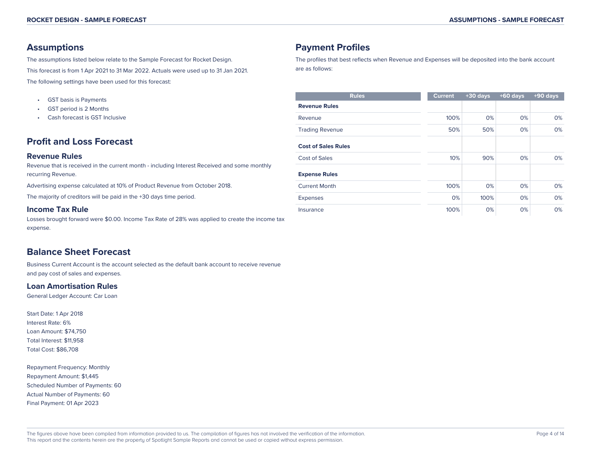# **Assumptions**

The assumptions listed below relate to the Sample Forecast for Rocket Design. This forecast is from 1 Apr 2021 to 31 Mar 2022. Actuals were used up to 31 Jan 2021. The following settings have been used for this forecast:

- GST basis is Payments
- GST period is 2 Months
- Cash forecast is GST Inclusive

# **Profit and Loss Forecast**

### **Revenue Rules**

Revenue that is received in the current month - including Interest Received and some monthly recurring Revenue.

Advertising expense calculated at 10% of Product Revenue from October 2018.

The majority of creditors will be paid in the +30 days time period.

### **Income Tax Rule**

Losses brought forward were \$0.00. Income Tax Rate of 28% was applied to create the income tax expense.

# **Balance Sheet Forecast**

Business Current Account is the account selected as the default bank account to receive revenue and pay cost of sales and expenses.

### **Loan Amortisation Rules**

General Ledger Account: Car Loan

Start Date: 1 Apr 2018 Interest Rate: 6% Loan Amount: \$74,750 Total Interest: \$11,958 Total Cost: \$86,708

Repayment Frequency: Monthly Repayment Amount: \$1,445 Scheduled Number of Payments: 60 Actual Number of Payments: 60 Final Payment: 01 Apr 2023

# **Payment Profiles**

The profiles that best reflects when Revenue and Expenses will be deposited into the bank account are as follows:

| <b>Rules</b>               | <b>Current</b> | $+30$ days | $+60$ days | $+90$ days |
|----------------------------|----------------|------------|------------|------------|
| <b>Revenue Rules</b>       |                |            |            |            |
| Revenue                    | 100%           | 0%         | 0%         | 0%         |
| <b>Trading Revenue</b>     | 50%            | 50%        | 0%         | 0%         |
| <b>Cost of Sales Rules</b> |                |            |            |            |
| Cost of Sales              | 10%            | 90%        | 0%         | 0%         |
| <b>Expense Rules</b>       |                |            |            |            |
| <b>Current Month</b>       | 100%           | 0%         | 0%         | 0%         |
| Expenses                   | 0%             | 100%       | 0%         | 0%         |
| Insurance                  | 100%           | 0%         | 0%         | 0%         |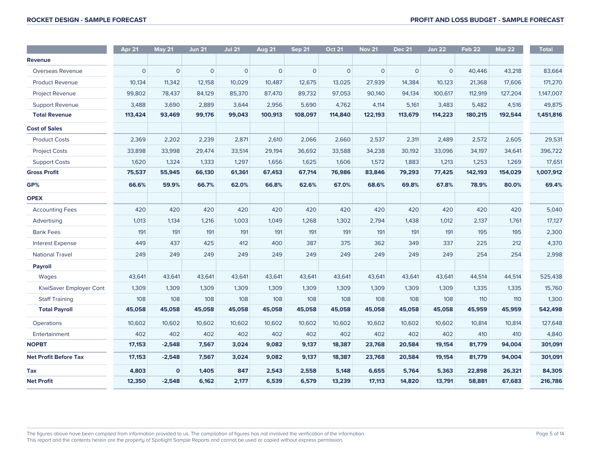|                              | Apr 21         | <b>May 21</b>  | <b>Jun 21</b>  | <b>Jul 21</b>  | <b>Aug 21</b>  | <b>Sep 21</b>  | <b>Oct 21</b>  | <b>Nov 21</b>  | <b>Dec 21</b>  | <b>Jan 22</b>  | <b>Feb 22</b> | <b>Mar 22</b> | <b>Total</b> |
|------------------------------|----------------|----------------|----------------|----------------|----------------|----------------|----------------|----------------|----------------|----------------|---------------|---------------|--------------|
| Revenue                      |                |                |                |                |                |                |                |                |                |                |               |               |              |
| Overseas Revenue             | $\overline{O}$ | $\overline{O}$ | $\overline{O}$ | $\overline{O}$ | $\overline{O}$ | $\overline{O}$ | $\overline{0}$ | $\overline{O}$ | $\overline{0}$ | $\overline{O}$ | 40,446        | 43,218        | 83,664       |
| <b>Product Revenue</b>       | 10,134         | 11,342         | 12,158         | 10,029         | 10,487         | 12,675         | 13,025         | 27,939         | 14,384         | 10,123         | 21,368        | 17,606        | 171,270      |
| <b>Project Revenue</b>       | 99,802         | 78,437         | 84,129         | 85,370         | 87,470         | 89,732         | 97,053         | 90,140         | 94,134         | 100,617        | 112,919       | 127,204       | 1,147,007    |
| <b>Support Revenue</b>       | 3,488          | 3,690          | 2,889          | 3,644          | 2,956          | 5,690          | 4,762          | 4,114          | 5,161          | 3,483          | 5,482         | 4,516         | 49,875       |
| <b>Total Revenue</b>         | 113,424        | 93,469         | 99,176         | 99,043         | 100,913        | 108,097        | 114,840        | 122,193        | 113,679        | 114,223        | 180,215       | 192,544       | 1,451,816    |
| <b>Cost of Sales</b>         |                |                |                |                |                |                |                |                |                |                |               |               |              |
| <b>Product Costs</b>         | 2,369          | 2,202          | 2,239          | 2,871          | 2,610          | 2,066          | 2,660          | 2,537          | 2,311          | 2,489          | 2,572         | 2,605         | 29,531       |
| <b>Project Costs</b>         | 33,898         | 33,998         | 29,474         | 33,514         | 29,194         | 36,692         | 33,588         | 34,238         | 30,192         | 33,096         | 34,197        | 34,641        | 396,722      |
| <b>Support Costs</b>         | 1,620          | 1,324          | 1,333          | 1,297          | 1,656          | 1,625          | 1,606          | 1,572          | 1,883          | 1,213          | 1,253         | 1,269         | 17,651       |
| <b>Gross Profit</b>          | 75,537         | 55,945         | 66,130         | 61,361         | 67,453         | 67,714         | 76,986         | 83,846         | 79,293         | 77,425         | 142,193       | 154,029       | 1,007,912    |
| GP%                          | 66.6%          | 59.9%          | 66.7%          | 62.0%          | 66.8%          | 62.6%          | 67.0%          | 68.6%          | 69.8%          | 67.8%          | 78.9%         | 80.0%         | 69.4%        |
| <b>OPEX</b>                  |                |                |                |                |                |                |                |                |                |                |               |               |              |
| <b>Accounting Fees</b>       | 420            | 420            | 420            | 420            | 420            | 420            | 420            | 420            | 420            | 420            | 420           | 420           | 5,040        |
| Advertising                  | 1,013          | 1,134          | 1.216          | 1.003          | 1,049          | 1,268          | 1,302          | 2,794          | 1,438          | 1,012          | 2,137         | 1,761         | 17,127       |
| <b>Bank Fees</b>             | 191            | 191            | 191            | 191            | 191            | 191            | 191            | 191            | 191            | 191            | 195           | 195           | 2,300        |
| <b>Interest Expense</b>      | 449            | 437            | 425            | 412            | 400            | 387            | 375            | 362            | 349            | 337            | 225           | 212           | 4,370        |
| <b>National Travel</b>       | 249            | 249            | 249            | 249            | 249            | 249            | 249            | 249            | 249            | 249            | 254           | 254           | 2,998        |
| Payroll                      |                |                |                |                |                |                |                |                |                |                |               |               |              |
| Wages                        | 43,641         | 43,641         | 43,641         | 43,641         | 43,641         | 43,641         | 43,641         | 43,641         | 43,641         | 43,641         | 44,514        | 44,514        | 525,438      |
| KiwiSaver Employer Cont      | 1,309          | 1,309          | 1,309          | 1,309          | 1,309          | 1,309          | 1,309          | 1,309          | 1,309          | 1,309          | 1,335         | 1,335         | 15,760       |
| <b>Staff Training</b>        | 108            | 108            | 108            | 108            | 108            | 108            | 108            | 108            | 108            | 108            | 110           | 110           | 1,300        |
| <b>Total Payroll</b>         | 45,058         | 45,058         | 45,058         | 45,058         | 45,058         | 45,058         | 45,058         | 45,058         | 45,058         | 45,058         | 45,959        | 45,959        | 542,498      |
| Operations                   | 10,602         | 10,602         | 10,602         | 10,602         | 10,602         | 10,602         | 10,602         | 10,602         | 10,602         | 10,602         | 10,814        | 10,814        | 127,648      |
| Entertainment                | 402            | 402            | 402            | 402            | 402            | 402            | 402            | 402            | 402            | 402            | 410           | 410           | 4,840        |
| <b>NOPBT</b>                 | 17,153         | $-2,548$       | 7,567          | 3,024          | 9,082          | 9,137          | 18,387         | 23,768         | 20,584         | 19,154         | 81,779        | 94,004        | 301,091      |
| <b>Net Profit Before Tax</b> | 17,153         | $-2,548$       | 7,567          | 3,024          | 9,082          | 9,137          | 18,387         | 23,768         | 20,584         | 19,154         | 81,779        | 94,004        | 301,091      |
| <b>Tax</b>                   | 4,803          | $\mathbf{o}$   | 1,405          | 847            | 2,543          | 2,558          | 5,148          | 6,655          | 5,764          | 5,363          | 22,898        | 26,321        | 84,305       |
| <b>Net Profit</b>            | 12,350         | $-2,548$       | 6,162          | 2,177          | 6,539          | 6,579          | 13,239         | 17,113         | 14,820         | 13,791         | 58,881        | 67,683        | 216,786      |

The figures above have been compiled from information provided to us. The compilation of figures has not involved the verification of the information. This report and the contents herein are the property of Spotlight Sample Reports and cannot be used or copied without express permission.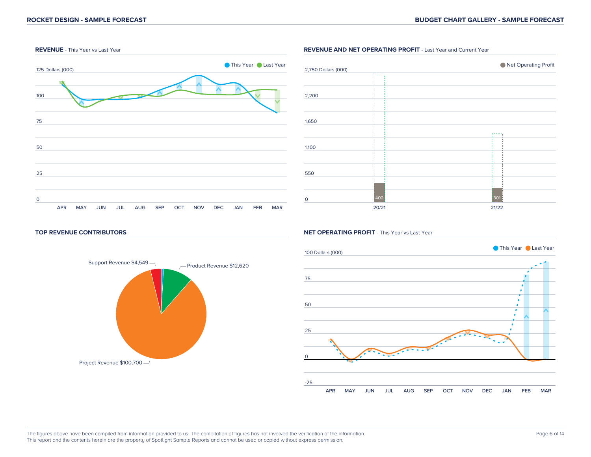

### **REVENUE AND NET OPERATING PROFIT** - Last Year and Current Year



#### **TOP REVENUE CONTRIBUTORS**



#### **NET OPERATING PROFIT** - This Year vs Last Year



#### The figures above have been compiled from information provided to us. The compilation of figures has not involved the verification of the information. This report and the contents herein are the property of Spotlight Sample Reports and cannot be used or copied without express permission.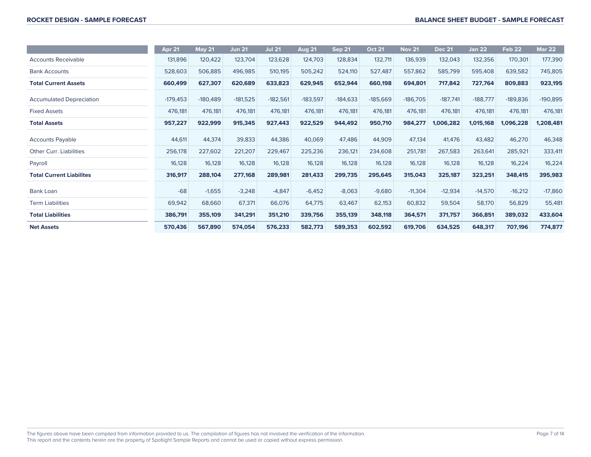|                                 | Apr 21     | <b>May 21</b> | <b>Jun 21</b> | <b>Jul 21</b> | <b>Aug 21</b> | <b>Sep 21</b> | <b>Oct 21</b> | <b>Nov 21</b> | <b>Dec 21</b> | <b>Jan 22</b> | Feb <sub>22</sub> | <b>Mar 22</b> |
|---------------------------------|------------|---------------|---------------|---------------|---------------|---------------|---------------|---------------|---------------|---------------|-------------------|---------------|
| <b>Accounts Receivable</b>      | 131,896    | 120,422       | 123,704       | 123,628       | 124,703       | 128,834       | 132,711       | 136,939       | 132,043       | 132,356       | 170,301           | 177,390       |
| <b>Bank Accounts</b>            | 528,603    | 506,885       | 496,985       | 510,195       | 505,242       | 524,110       | 527,487       | 557,862       | 585,799       | 595,408       | 639,582           | 745,805       |
| <b>Total Current Assets</b>     | 660,499    | 627,307       | 620,689       | 633,823       | 629,945       | 652,944       | 660,198       | 694,801       | 717,842       | 727,764       | 809,883           | 923,195       |
| <b>Accumulated Depreciation</b> | $-179,453$ | $-180,489$    | $-181,525$    | $-182,561$    | $-183,597$    | $-184,633$    | $-185,669$    | $-186,705$    | $-187,741$    | $-188,777$    | $-189,836$        | $-190,895$    |
| <b>Fixed Assets</b>             | 476,181    | 476,181       | 476,181       | 476,181       | 476,181       | 476,181       | 476,181       | 476,181       | 476,181       | 476,181       | 476,181           | 476,181       |
| <b>Total Assets</b>             | 957,227    | 922,999       | 915,345       | 927,443       | 922,529       | 944,492       | 950,710       | 984,277       | 1,006,282     | 1,015,168     | 1,096,228         | 1,208,481     |
| <b>Accounts Payable</b>         | 44,611     | 44,374        | 39,833        | 44,386        | 40,069        | 47,486        | 44,909        | 47,134        | 41,476        | 43,482        | 46,270            | 46,348        |
| Other Curr. Liabilities         | 256,178    | 227,602       | 221,207       | 229,467       | 225,236       | 236,121       | 234,608       | 251,781       | 267,583       | 263,641       | 285,921           | 333,411       |
| Payroll                         | 16,128     | 16,128        | 16,128        | 16,128        | 16,128        | 16,128        | 16,128        | 16,128        | 16,128        | 16,128        | 16,224            | 16,224        |
| <b>Total Current Liabilites</b> | 316,917    | 288,104       | 277,168       | 289,981       | 281,433       | 299,735       | 295,645       | 315,043       | 325,187       | 323,251       | 348,415           | 395,983       |
| Bank Loan                       | $-68$      | $-1,655$      | $-3,248$      | $-4,847$      | $-6,452$      | $-8,063$      | $-9,680$      | $-11,304$     | $-12,934$     | $-14,570$     | $-16,212$         | $-17,860$     |
| <b>Term Liabilities</b>         | 69,942     | 68,660        | 67,371        | 66,076        | 64,775        | 63,467        | 62,153        | 60,832        | 59,504        | 58,170        | 56,829            | 55,481        |
| <b>Total Liabilities</b>        | 386,791    | 355,109       | 341,291       | 351,210       | 339,756       | 355,139       | 348,118       | 364,571       | 371,757       | 366,851       | 389,032           | 433,604       |
| <b>Net Assets</b>               | 570,436    | 567,890       | 574,054       | 576,233       | 582,773       | 589,353       | 602,592       | 619,706       | 634,525       | 648,317       | 707,196           | 774,877       |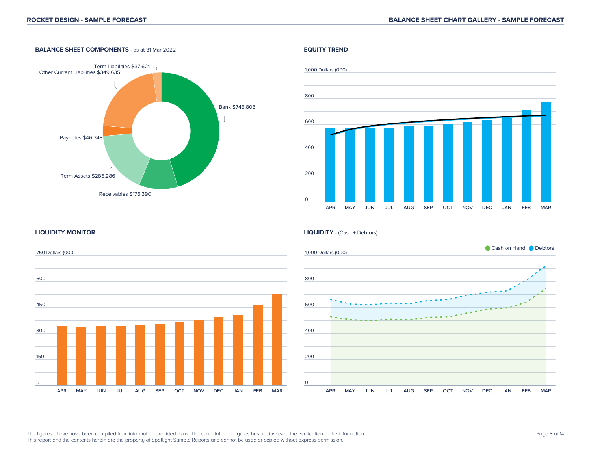### **BALANCE SHEET COMPONENTS** - as at 31 Mar 2022





#### **LIQUIDITY MONITOR**



#### **LIQUIDITY** - (Cash + Debtors)



The figures above have been compiled from information provided to us. The compilation of figures has not involved the verification of the information. This report and the contents herein are the property of Spotlight Sample Reports and cannot be used or copied without express permission.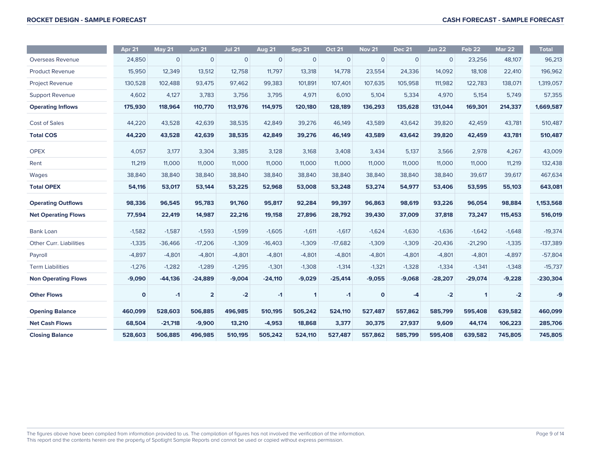|                                | Apr <sub>21</sub> | <b>May 21</b> | <b>Jun 21</b>  | <b>Jul 21</b> | <b>Aug 21</b> | <b>Sep 21</b> | <b>Oct 21</b> | <b>Nov 21</b> | <b>Dec 21</b> | <b>Jan 22</b> | <b>Feb 22</b> | <b>Mar 22</b> | <b>Total</b> |
|--------------------------------|-------------------|---------------|----------------|---------------|---------------|---------------|---------------|---------------|---------------|---------------|---------------|---------------|--------------|
| Overseas Revenue               | 24,850            | $\mathbf{O}$  | $\mathbf{0}$   | $\mathbf{O}$  | $\mathbf{O}$  | $\mathbf{O}$  | $\mathbf{O}$  | $\mathbf{O}$  | $\mathbf{O}$  | $\mathbf 0$   | 23,256        | 48,107        | 96,213       |
| <b>Product Revenue</b>         | 15,950            | 12,349        | 13,512         | 12,758        | 11,797        | 13,318        | 14,778        | 23,554        | 24,336        | 14,092        | 18,108        | 22,410        | 196,962      |
| <b>Project Revenue</b>         | 130,528           | 102,488       | 93,475         | 97,462        | 99,383        | 101,891       | 107,401       | 107,635       | 105,958       | 111,982       | 122,783       | 138,071       | 1,319,057    |
| <b>Support Revenue</b>         | 4,602             | 4,127         | 3,783          | 3,756         | 3,795         | 4,971         | 6,010         | 5,104         | 5,334         | 4,970         | 5,154         | 5,749         | 57,355       |
| <b>Operating Inflows</b>       | 175,930           | 118,964       | 110,770        | 113,976       | 114,975       | 120,180       | 128,189       | 136,293       | 135,628       | 131,044       | 169,301       | 214,337       | 1,669,587    |
| <b>Cost of Sales</b>           | 44,220            | 43,528        | 42,639         | 38,535        | 42,849        | 39,276        | 46,149        | 43,589        | 43,642        | 39,820        | 42,459        | 43,781        | 510,487      |
| <b>Total COS</b>               | 44,220            | 43,528        | 42,639         | 38,535        | 42,849        | 39,276        | 46,149        | 43,589        | 43,642        | 39,820        | 42,459        | 43,781        | 510,487      |
| <b>OPEX</b>                    | 4,057             | 3,177         | 3,304          | 3,385         | 3,128         | 3,168         | 3,408         | 3,434         | 5,137         | 3,566         | 2,978         | 4,267         | 43,009       |
| Rent                           | 11,219            | 11,000        | 11,000         | 11,000        | 11,000        | 11,000        | 11,000        | 11,000        | 11,000        | 11,000        | 11,000        | 11,219        | 132,438      |
| Wages                          | 38,840            | 38,840        | 38,840         | 38,840        | 38,840        | 38,840        | 38,840        | 38,840        | 38,840        | 38,840        | 39,617        | 39,617        | 467,634      |
| <b>Total OPEX</b>              | 54,116            | 53,017        | 53,144         | 53,225        | 52,968        | 53,008        | 53,248        | 53,274        | 54,977        | 53,406        | 53,595        | 55,103        | 643,081      |
| <b>Operating Outflows</b>      | 98,336            | 96,545        | 95,783         | 91,760        | 95,817        | 92,284        | 99,397        | 96,863        | 98,619        | 93,226        | 96,054        | 98,884        | 1,153,568    |
| <b>Net Operating Flows</b>     | 77,594            | 22,419        | 14,987         | 22,216        | 19,158        | 27,896        | 28,792        | 39,430        | 37,009        | 37,818        | 73,247        | 115,453       | 516,019      |
| <b>Bank Loan</b>               | $-1,582$          | $-1,587$      | $-1,593$       | $-1,599$      | $-1,605$      | $-1,611$      | $-1,617$      | $-1,624$      | $-1,630$      | $-1,636$      | $-1.642$      | $-1,648$      | $-19,374$    |
| <b>Other Curr, Liabilities</b> | $-1,335$          | $-36,466$     | $-17,206$      | $-1,309$      | $-16,403$     | $-1,309$      | $-17,682$     | $-1,309$      | $-1,309$      | $-20,436$     | $-21,290$     | $-1,335$      | $-137,389$   |
| Payroll                        | $-4,897$          | $-4,801$      | $-4,801$       | $-4,801$      | $-4,801$      | $-4,801$      | $-4,801$      | $-4,801$      | $-4,801$      | $-4,801$      | $-4,801$      | $-4,897$      | $-57,804$    |
| <b>Term Liabilities</b>        | $-1,276$          | $-1,282$      | $-1,289$       | $-1,295$      | $-1,301$      | $-1,308$      | $-1,314$      | $-1,321$      | $-1,328$      | $-1,334$      | $-1,341$      | $-1,348$      | $-15,737$    |
| <b>Non Operating Flows</b>     | $-9,090$          | $-44,136$     | $-24,889$      | $-9,004$      | $-24,110$     | $-9,029$      | $-25,414$     | $-9,055$      | $-9,068$      | $-28,207$     | $-29,074$     | $-9,228$      | $-230,304$   |
| <b>Other Flows</b>             | $\mathbf 0$       | $-1$          | $\overline{2}$ | $-2$          | $-1$          | $\mathbf{1}$  | $-1$          | $\mathbf{o}$  | -4            | $-2$          | $\mathbf{1}$  | $-2$          | -9           |
| <b>Opening Balance</b>         | 460,099           | 528,603       | 506,885        | 496,985       | 510,195       | 505,242       | 524,110       | 527.487       | 557,862       | 585,799       | 595,408       | 639,582       | 460,099      |
| <b>Net Cash Flows</b>          | 68,504            | $-21,718$     | $-9,900$       | 13,210        | $-4,953$      | 18,868        | 3,377         | 30,375        | 27,937        | 9,609         | 44,174        | 106,223       | 285,706      |
| <b>Closing Balance</b>         | 528,603           | 506,885       | 496.985        | 510,195       | 505.242       | 524,110       | 527,487       | 557,862       | 585,799       | 595,408       | 639.582       | 745,805       | 745,805      |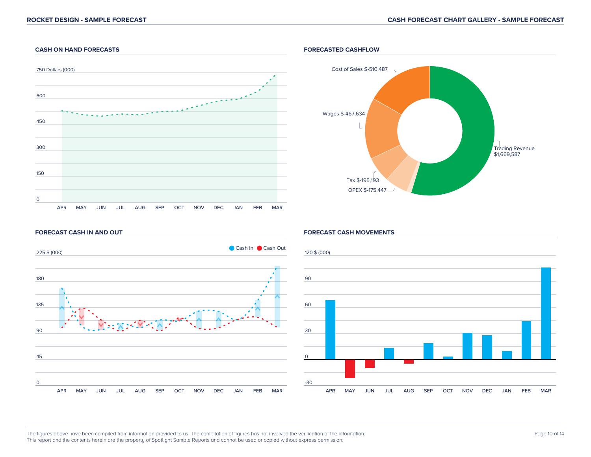### **CASH ON HAND FORECASTS**



### **FORECASTED CASHFLOW**



#### **FORECAST CASH IN AND OUT**



#### **FORECAST CASH MOVEMENTS**

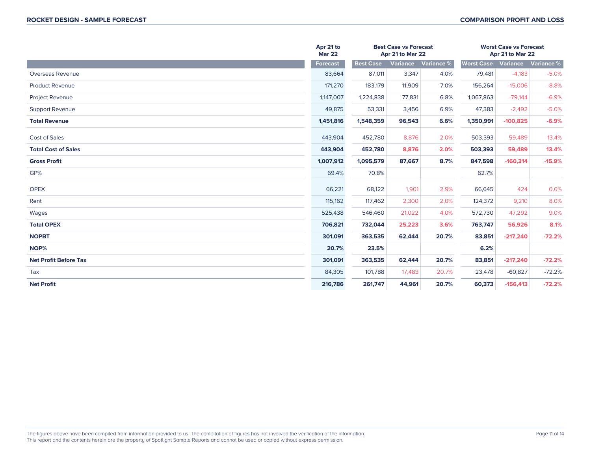|                              | Apr 21 to<br><b>Mar 22</b> |                  | <b>Best Case vs Forecast</b><br>Apr 21 to Mar 22 |                   | <b>Worst Case vs Forecast</b><br>Apr 21 to Mar 22 |            |            |
|------------------------------|----------------------------|------------------|--------------------------------------------------|-------------------|---------------------------------------------------|------------|------------|
|                              | Forecast                   | <b>Best Case</b> | <b>Variance</b>                                  | <b>Variance %</b> | <b>Worst Case</b>                                 | Variance   | Variance % |
| Overseas Revenue             | 83,664                     | 87,011           | 3,347                                            | 4.0%              | 79,481                                            | $-4,183$   | $-5.0%$    |
| <b>Product Revenue</b>       | 171,270                    | 183,179          | 11,909                                           | 7.0%              | 156,264                                           | $-15,006$  | $-8.8%$    |
| <b>Project Revenue</b>       | 1,147,007                  | 1,224,838        | 77,831                                           | 6.8%              | 1,067,863                                         | $-79,144$  | $-6.9%$    |
| <b>Support Revenue</b>       | 49,875                     | 53,331           | 3,456                                            | 6.9%              | 47,383                                            | $-2,492$   | $-5.0%$    |
| <b>Total Revenue</b>         | 1,451,816                  | 1,548,359        | 96,543                                           | 6.6%              | 1,350,991                                         | $-100,825$ | $-6.9%$    |
| <b>Cost of Sales</b>         | 443,904                    | 452,780          | 8,876                                            | 2.0%              | 503,393                                           | 59,489     | 13.4%      |
| <b>Total Cost of Sales</b>   | 443,904                    | 452,780          | 8,876                                            | 2.0%              | 503,393                                           | 59,489     | 13.4%      |
| <b>Gross Profit</b>          | 1,007,912                  | 1,095,579        | 87,667                                           | 8.7%              | 847,598                                           | $-160,314$ | $-15.9%$   |
| GP%                          | 69.4%                      | 70.8%            |                                                  |                   | 62.7%                                             |            |            |
| <b>OPEX</b>                  | 66,221                     | 68,122           | 1,901                                            | 2.9%              | 66,645                                            | 424        | 0.6%       |
| Rent                         | 115,162                    | 117,462          | 2,300                                            | 2.0%              | 124,372                                           | 9,210      | 8.0%       |
| Wages                        | 525,438                    | 546,460          | 21,022                                           | 4.0%              | 572,730                                           | 47,292     | 9.0%       |
| <b>Total OPEX</b>            | 706,821                    | 732,044          | 25,223                                           | 3.6%              | 763,747                                           | 56,926     | 8.1%       |
| <b>NOPBT</b>                 | 301,091                    | 363,535          | 62,444                                           | 20.7%             | 83,851                                            | $-217,240$ | $-72.2%$   |
| NOP%                         | 20.7%                      | 23.5%            |                                                  |                   | 6.2%                                              |            |            |
| <b>Net Profit Before Tax</b> | 301,091                    | 363,535          | 62,444                                           | 20.7%             | 83,851                                            | $-217,240$ | $-72.2%$   |
| Tax                          | 84,305                     | 101,788          | 17,483                                           | 20.7%             | 23,478                                            | $-60,827$  | $-72.2%$   |
| <b>Net Profit</b>            | 216,786                    | 261,747          | 44,961                                           | 20.7%             | 60,373                                            | $-156,413$ | $-72.2%$   |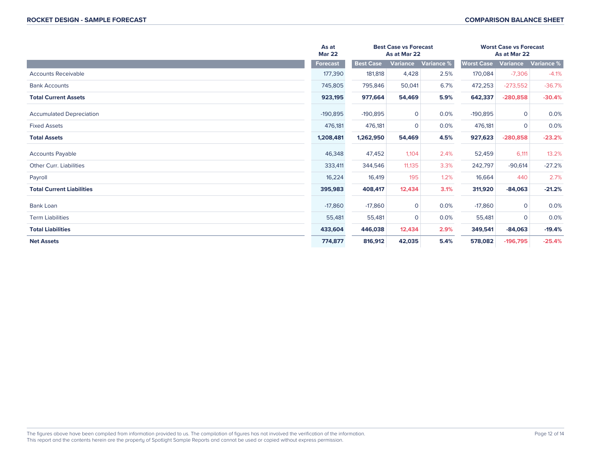|                                  | As at<br><b>Mar 22</b> |                  | <b>Best Case vs Forecast</b><br>As at Mar 22 |            | <b>Worst Case vs Forecast</b> | As at Mar 22    |            |
|----------------------------------|------------------------|------------------|----------------------------------------------|------------|-------------------------------|-----------------|------------|
|                                  | <b>Forecast</b>        | <b>Best Case</b> | Variance                                     | Variance % | <b>Worst Case</b>             | <b>Variance</b> | Variance % |
| <b>Accounts Receivable</b>       | 177,390                | 181,818          | 4,428                                        | 2.5%       | 170,084                       | $-7,306$        | $-4.1%$    |
| <b>Bank Accounts</b>             | 745,805                | 795,846          | 50,041                                       | 6.7%       | 472,253                       | $-273,552$      | $-36.7%$   |
| <b>Total Current Assets</b>      | 923,195                | 977,664          | 54,469                                       | 5.9%       | 642,337                       | $-280,858$      | $-30.4%$   |
| <b>Accumulated Depreciation</b>  | $-190,895$             | $-190,895$       | $\overline{0}$                               | 0.0%       | $-190,895$                    | $\overline{0}$  | 0.0%       |
| <b>Fixed Assets</b>              | 476,181                | 476,181          | $\overline{0}$                               | 0.0%       | 476,181                       | $\overline{0}$  | 0.0%       |
| <b>Total Assets</b>              | 1,208,481              | 1,262,950        | 54,469                                       | 4.5%       | 927,623                       | $-280,858$      | $-23.2%$   |
| <b>Accounts Payable</b>          | 46,348                 | 47,452           | 1,104                                        | 2.4%       | 52,459                        | 6,111           | 13.2%      |
| <b>Other Curr. Liabilities</b>   | 333,411                | 344,546          | 11,135                                       | 3.3%       | 242,797                       | $-90,614$       | $-27.2%$   |
| Payroll                          | 16,224                 | 16,419           | 195                                          | 1.2%       | 16,664                        | 440             | 2.7%       |
| <b>Total Current Liabilities</b> | 395,983                | 408,417          | 12,434                                       | 3.1%       | 311,920                       | $-84,063$       | $-21.2%$   |
| <b>Bank Loan</b>                 | $-17,860$              | $-17,860$        | $\overline{0}$                               | 0.0%       | $-17,860$                     | $\mathbf{0}$    | 0.0%       |
| <b>Term Liabilities</b>          | 55,481                 | 55,481           | $\overline{0}$                               | 0.0%       | 55,481                        | $\overline{0}$  | 0.0%       |
| <b>Total Liabilities</b>         | 433,604                | 446,038          | 12,434                                       | 2.9%       | 349,541                       | $-84,063$       | $-19.4%$   |
| <b>Net Assets</b>                | 774,877                | 816,912          | 42,035                                       | 5.4%       | 578,082                       | $-196,795$      | $-25.4%$   |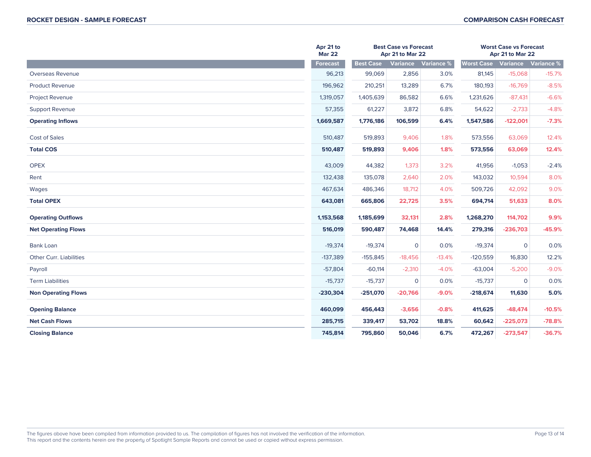|                                | Apr 21 to<br><b>Mar 22</b> |                  | <b>Best Case vs Forecast</b><br>Apr 21 to Mar 22 |            | <b>Worst Case vs Forecast</b><br>Apr 21 to Mar 22 |                |            |
|--------------------------------|----------------------------|------------------|--------------------------------------------------|------------|---------------------------------------------------|----------------|------------|
|                                | <b>Forecast</b>            | <b>Best Case</b> | <b>Variance</b>                                  | Variance % | <b>Worst Case</b>                                 | Variance       | Variance % |
| Overseas Revenue               | 96,213                     | 99,069           | 2,856                                            | 3.0%       | 81,145                                            | $-15,068$      | $-15.7%$   |
| <b>Product Revenue</b>         | 196,962                    | 210,251          | 13,289                                           | 6.7%       | 180,193                                           | $-16,769$      | $-8.5%$    |
| <b>Project Revenue</b>         | 1,319,057                  | 1,405,639        | 86,582                                           | 6.6%       | 1,231,626                                         | $-87,431$      | $-6.6%$    |
| <b>Support Revenue</b>         | 57,355                     | 61,227           | 3,872                                            | 6.8%       | 54,622                                            | $-2,733$       | $-4.8%$    |
| <b>Operating Inflows</b>       | 1,669,587                  | 1,776,186        | 106,599                                          | 6.4%       | 1,547,586                                         | $-122,001$     | $-7.3%$    |
| <b>Cost of Sales</b>           | 510,487                    | 519,893          | 9,406                                            | 1.8%       | 573,556                                           | 63,069         | 12.4%      |
| <b>Total COS</b>               | 510,487                    | 519,893          | 9,406                                            | 1.8%       | 573,556                                           | 63,069         | 12.4%      |
| <b>OPEX</b>                    | 43,009                     | 44,382           | 1,373                                            | 3.2%       | 41,956                                            | $-1,053$       | $-2.4%$    |
| Rent                           | 132,438                    | 135,078          | 2,640                                            | 2.0%       | 143,032                                           | 10,594         | 8.0%       |
| Wages                          | 467,634                    | 486,346          | 18,712                                           | 4.0%       | 509,726                                           | 42,092         | 9.0%       |
| <b>Total OPEX</b>              | 643,081                    | 665,806          | 22,725                                           | 3.5%       | 694,714                                           | 51,633         | 8.0%       |
| <b>Operating Outflows</b>      | 1,153,568                  | 1,185,699        | 32,131                                           | 2.8%       | 1,268,270                                         | 114,702        | 9.9%       |
| <b>Net Operating Flows</b>     | 516,019                    | 590,487          | 74,468                                           | 14.4%      | 279,316                                           | $-236,703$     | $-45.9%$   |
| Bank Loan                      | $-19,374$                  | $-19,374$        | $\mathbf 0$                                      | 0.0%       | $-19,374$                                         | $\mathbf 0$    | 0.0%       |
| <b>Other Curr. Liabilities</b> | $-137,389$                 | $-155,845$       | $-18,456$                                        | $-13.4%$   | $-120,559$                                        | 16,830         | 12.2%      |
| Payroll                        | $-57,804$                  | $-60,114$        | $-2,310$                                         | $-4.0%$    | $-63,004$                                         | $-5,200$       | $-9.0%$    |
| <b>Term Liabilities</b>        | $-15,737$                  | $-15,737$        | $\mathbf 0$                                      | 0.0%       | $-15,737$                                         | $\overline{0}$ | 0.0%       |
| <b>Non Operating Flows</b>     | $-230,304$                 | $-251,070$       | $-20,766$                                        | $-9.0%$    | $-218,674$                                        | 11,630         | 5.0%       |
| <b>Opening Balance</b>         | 460,099                    | 456,443          | $-3,656$                                         | $-0.8%$    | 411,625                                           | $-48,474$      | $-10.5%$   |
| <b>Net Cash Flows</b>          | 285,715                    | 339,417          | 53,702                                           | 18.8%      | 60,642                                            | $-225,073$     | $-78.8%$   |
| <b>Closing Balance</b>         | 745,814                    | 795,860          | 50,046                                           | 6.7%       | 472,267                                           | $-273,547$     | $-36.7%$   |